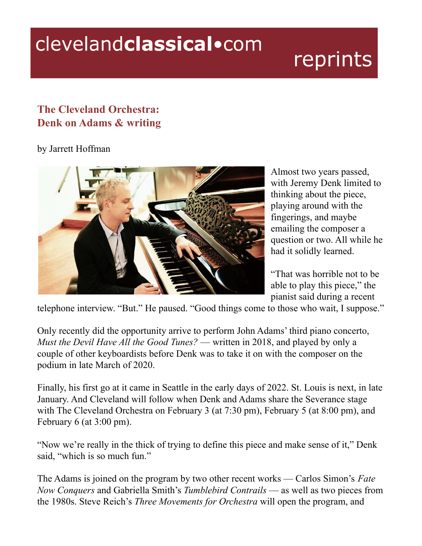## clevelandclassical.com

## reprints

## **The Cleveland Orchestra: Denk on Adams & writing**

## by Jarrett Hoffman



Almost two years passed, with Jeremy Denk limited to thinking about the piece, playing around with the fingerings, and maybe emailing the composer a question or two. All while he had it solidly learned.

"That was horrible not to be able to play this piece," the pianist said during a recent

telephone interview. "But." He paused. "Good things come to those who wait, I suppose."

Only recently did the opportunity arrive to perform John Adams' third piano concerto, *Must the Devil Have All the Good Tunes?* — written in 2018, and played by only a couple of other keyboardists before Denk was to take it on with the composer on the podium in late March of 2020.

Finally, his first go at it came in Seattle in the early days of 2022. St. Louis is next, in late January. And Cleveland will follow when Denk and Adams share the Severance stage with The Cleveland Orchestra on February 3 (at 7:30 pm), February 5 (at 8:00 pm), and February 6 (at 3:00 pm).

"Now we're really in the thick of trying to define this piece and make sense of it," Denk said, "which is so much fun."

The Adams is joined on the program by two other recent works — Carlos Simon's *Fate Now Conquers* and Gabriella Smith's *Tumblebird Contrails* — as well as two pieces from the 1980s. Steve Reich's *Three Movements for Orchestra* will open the program, and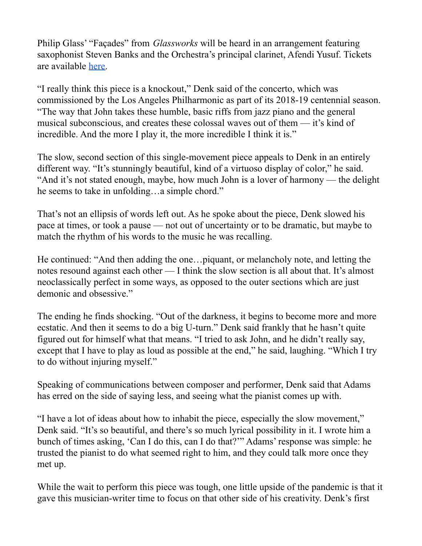Philip Glass' "Façades" from *Glassworks* will be heard in an arrangement featuring saxophonist Steven Banks and the Orchestra's principal clarinet, Afendi Yusuf. Tickets are available [here.](https://www.clevelandorchestra.com/attend/concerts-and-events/2122/severance/wk-08-Jeremy-Denk-Plays-Adams/)

"I really think this piece is a knockout," Denk said of the concerto, which was commissioned by the Los Angeles Philharmonic as part of its 2018-19 centennial season. "The way that John takes these humble, basic riffs from jazz piano and the general musical subconscious, and creates these colossal waves out of them — it's kind of incredible. And the more I play it, the more incredible I think it is."

The slow, second section of this single-movement piece appeals to Denk in an entirely different way. "It's stunningly beautiful, kind of a virtuoso display of color," he said. "And it's not stated enough, maybe, how much John is a lover of harmony — the delight he seems to take in unfolding…a simple chord."

That's not an ellipsis of words left out. As he spoke about the piece, Denk slowed his pace at times, or took a pause — not out of uncertainty or to be dramatic, but maybe to match the rhythm of his words to the music he was recalling.

He continued: "And then adding the one…piquant, or melancholy note, and letting the notes resound against each other — I think the slow section is all about that. It's almost neoclassically perfect in some ways, as opposed to the outer sections which are just demonic and obsessive."

The ending he finds shocking. "Out of the darkness, it begins to become more and more ecstatic. And then it seems to do a big U-turn." Denk said frankly that he hasn't quite figured out for himself what that means. "I tried to ask John, and he didn't really say, except that I have to play as loud as possible at the end," he said, laughing. "Which I try to do without injuring myself."

Speaking of communications between composer and performer, Denk said that Adams has erred on the side of saying less, and seeing what the pianist comes up with.

"I have a lot of ideas about how to inhabit the piece, especially the slow movement," Denk said. "It's so beautiful, and there's so much lyrical possibility in it. I wrote him a bunch of times asking, 'Can I do this, can I do that?'" Adams' response was simple: he trusted the pianist to do what seemed right to him, and they could talk more once they met up.

While the wait to perform this piece was tough, one little upside of the pandemic is that it gave this musician-writer time to focus on that other side of his creativity. Denk's first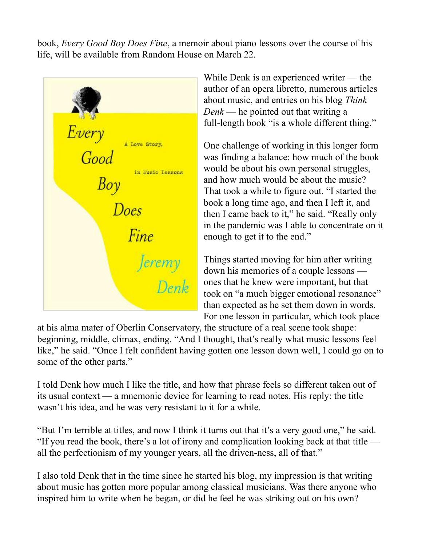book, *Every Good Boy Does Fine*, a memoir about piano lessons over the course of his life, will be available from Random House on March 22.



While Denk is an experienced writer — the author of an opera libretto, numerous articles about music, and entries on his blog *Think Denk* — he pointed out that writing a full-length book "is a whole different thing."

One challenge of working in this longer form was finding a balance: how much of the book would be about his own personal struggles, and how much would be about the music? That took a while to figure out. "I started the book a long time ago, and then I left it, and then I came back to it," he said. "Really only in the pandemic was I able to concentrate on it enough to get it to the end."

Things started moving for him after writing down his memories of a couple lessons ones that he knew were important, but that took on "a much bigger emotional resonance" than expected as he set them down in words. For one lesson in particular, which took place

at his alma mater of Oberlin Conservatory, the structure of a real scene took shape: beginning, middle, climax, ending. "And I thought, that's really what music lessons feel like," he said. "Once I felt confident having gotten one lesson down well, I could go on to some of the other parts."

I told Denk how much I like the title, and how that phrase feels so different taken out of its usual context — a mnemonic device for learning to read notes. His reply: the title wasn't his idea, and he was very resistant to it for a while.

"But I'm terrible at titles, and now I think it turns out that it's a very good one," he said. "If you read the book, there's a lot of irony and complication looking back at that title all the perfectionism of my younger years, all the driven-ness, all of that."

I also told Denk that in the time since he started his blog, my impression is that writing about music has gotten more popular among classical musicians. Was there anyone who inspired him to write when he began, or did he feel he was striking out on his own?